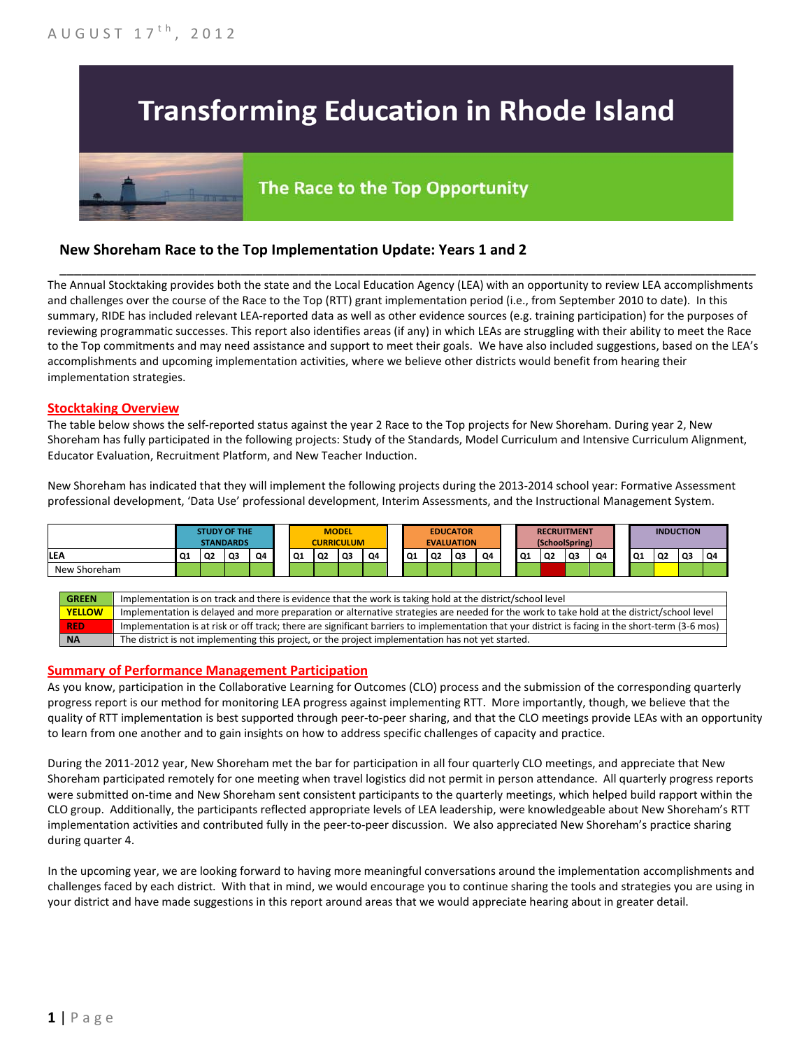# **Transforming Education in Rhode Island**

# The Race to the Top Opportunity

## **New Shoreham Race to the Top Implementation Update: Years 1 and 2**

The Annual Stocktaking provides both the state and the Local Education Agency (LEA) with an opportunity to review LEA accomplishments and challenges over the course of the Race to the Top (RTT) grant implementation period (i.e., from September 2010 to date). In this summary, RIDE has included relevant LEA-reported data as well as other evidence sources (e.g. training participation) for the purposes of reviewing programmatic successes. This report also identifies areas (if any) in which LEAs are struggling with their ability to meet the Race to the Top commitments and may need assistance and support to meet their goals. We have also included suggestions, based on the LEA's accomplishments and upcoming implementation activities, where we believe other districts would benefit from hearing their implementation strategies.

\_\_\_\_\_\_\_\_\_\_\_\_\_\_\_\_\_\_\_\_\_\_\_\_\_\_\_\_\_\_\_\_\_\_\_\_\_\_\_\_\_\_\_\_\_\_\_\_\_\_\_\_\_\_\_\_\_\_\_\_\_\_\_\_\_\_\_\_\_\_\_\_\_\_\_\_\_\_\_\_\_\_\_\_\_\_\_\_\_\_\_\_\_\_\_\_

#### **Stocktaking Overview**

The table below shows the self-reported status against the year 2 Race to the Top projects for New Shoreham. During year 2, New Shoreham has fully participated in the following projects: Study of the Standards, Model Curriculum and Intensive Curriculum Alignment, Educator Evaluation, Recruitment Platform, and New Teacher Induction.

New Shoreham has indicated that they will implement the following projects during the 2013-2014 school year: Formative Assessment professional development, 'Data Use' professional development, Interim Assessments, and the Instructional Management System.



#### **Summary of Performance Management Participation**

As you know, participation in the Collaborative Learning for Outcomes (CLO) process and the submission of the corresponding quarterly progress report is our method for monitoring LEA progress against implementing RTT. More importantly, though, we believe that the quality of RTT implementation is best supported through peer-to-peer sharing, and that the CLO meetings provide LEAs with an opportunity to learn from one another and to gain insights on how to address specific challenges of capacity and practice.

During the 2011-2012 year, New Shoreham met the bar for participation in all four quarterly CLO meetings, and appreciate that New Shoreham participated remotely for one meeting when travel logistics did not permit in person attendance. All quarterly progress reports were submitted on-time and New Shoreham sent consistent participants to the quarterly meetings, which helped build rapport within the CLO group. Additionally, the participants reflected appropriate levels of LEA leadership, were knowledgeable about New Shoreham's RTT implementation activities and contributed fully in the peer-to-peer discussion. We also appreciated New Shoreham's practice sharing during quarter 4.

In the upcoming year, we are looking forward to having more meaningful conversations around the implementation accomplishments and challenges faced by each district. With that in mind, we would encourage you to continue sharing the tools and strategies you are using in your district and have made suggestions in this report around areas that we would appreciate hearing about in greater detail.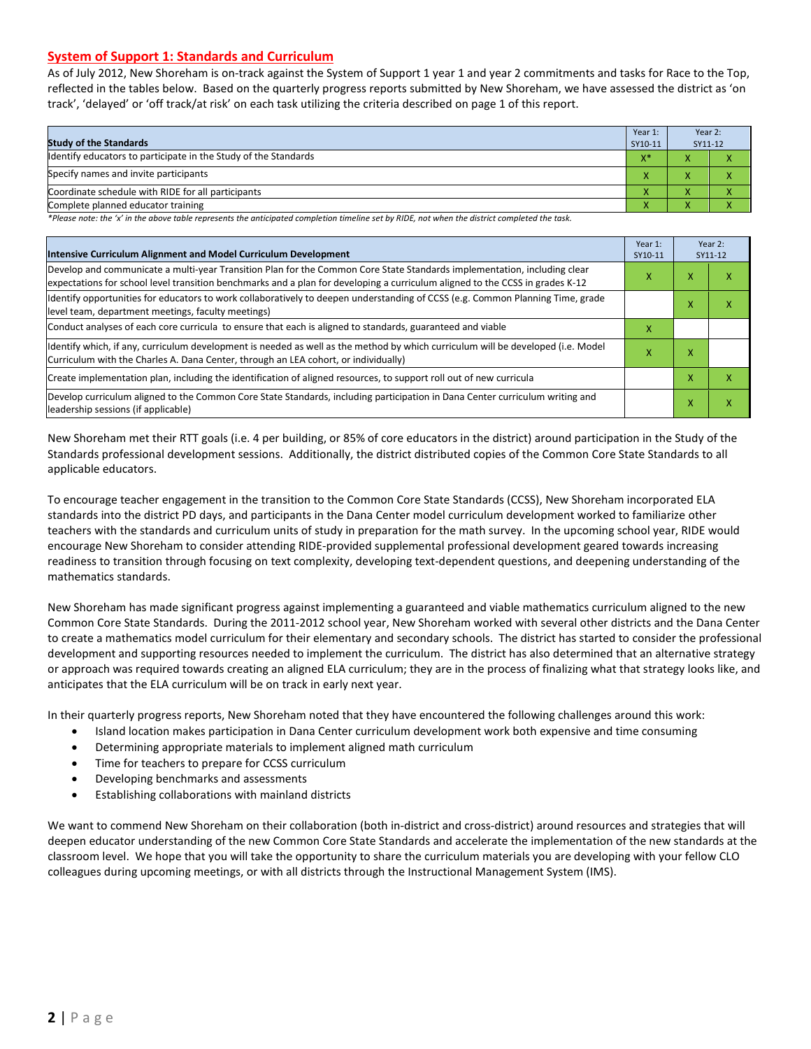#### **System of Support 1: Standards and Curriculum**

As of July 2012, New Shoreham is on-track against the System of Support 1 year 1 and year 2 commitments and tasks for Race to the Top, reflected in the tables below. Based on the quarterly progress reports submitted by New Shoreham, we have assessed the district as 'on track', 'delayed' or 'off track/at risk' on each task utilizing the criteria described on page 1 of this report.

| <b>Study of the Standards</b>                                   | Year 1:<br>SY10-11 | Year 2:<br>SY11-12     |  |
|-----------------------------------------------------------------|--------------------|------------------------|--|
| Identify educators to participate in the Study of the Standards | $X^*$              |                        |  |
| Specify names and invite participants                           |                    |                        |  |
| Coordinate schedule with RIDE for all participants              |                    |                        |  |
| Complete planned educator training                              | '                  | $\mathbf{v}$<br>$\sim$ |  |

*\*Please note: the 'x' in the above table represents the anticipated completion timeline set by RIDE, not when the district completed the task.*

| Intensive Curriculum Alignment and Model Curriculum Development                                                                                                                                                                                           |  |   | Year 2:<br>SY11-12 |
|-----------------------------------------------------------------------------------------------------------------------------------------------------------------------------------------------------------------------------------------------------------|--|---|--------------------|
| Develop and communicate a multi-year Transition Plan for the Common Core State Standards implementation, including clear<br>expectations for school level transition benchmarks and a plan for developing a curriculum aligned to the CCSS in grades K-12 |  | x | ⋏                  |
| Identify opportunities for educators to work collaboratively to deepen understanding of CCSS (e.g. Common Planning Time, grade<br>level team, department meetings, faculty meetings)                                                                      |  | x | x                  |
| Conduct analyses of each core curricula to ensure that each is aligned to standards, guaranteed and viable                                                                                                                                                |  |   |                    |
| ldentify which, if any, curriculum development is needed as well as the method by which curriculum will be developed (i.e. Model<br>х<br>Curriculum with the Charles A. Dana Center, through an LEA cohort, or individually)                              |  | x |                    |
| Create implementation plan, including the identification of aligned resources, to support roll out of new curricula                                                                                                                                       |  | x | x                  |
| Develop curriculum aligned to the Common Core State Standards, including participation in Dana Center curriculum writing and<br>leadership sessions (if applicable)                                                                                       |  | X | Χ                  |

New Shoreham met their RTT goals (i.e. 4 per building, or 85% of core educators in the district) around participation in the Study of the Standards professional development sessions. Additionally, the district distributed copies of the Common Core State Standards to all applicable educators.

To encourage teacher engagement in the transition to the Common Core State Standards (CCSS), New Shoreham incorporated ELA standards into the district PD days, and participants in the Dana Center model curriculum development worked to familiarize other teachers with the standards and curriculum units of study in preparation for the math survey. In the upcoming school year, RIDE would encourage New Shoreham to consider attending RIDE-provided supplemental professional development geared towards increasing readiness to transition through focusing on text complexity, developing text-dependent questions, and deepening understanding of the mathematics standards.

New Shoreham has made significant progress against implementing a guaranteed and viable mathematics curriculum aligned to the new Common Core State Standards. During the 2011-2012 school year, New Shoreham worked with several other districts and the Dana Center to create a mathematics model curriculum for their elementary and secondary schools. The district has started to consider the professional development and supporting resources needed to implement the curriculum. The district has also determined that an alternative strategy or approach was required towards creating an aligned ELA curriculum; they are in the process of finalizing what that strategy looks like, and anticipates that the ELA curriculum will be on track in early next year.

In their quarterly progress reports, New Shoreham noted that they have encountered the following challenges around this work:

- Island location makes participation in Dana Center curriculum development work both expensive and time consuming
- Determining appropriate materials to implement aligned math curriculum
- Time for teachers to prepare for CCSS curriculum
- Developing benchmarks and assessments
- Establishing collaborations with mainland districts

We want to commend New Shoreham on their collaboration (both in-district and cross-district) around resources and strategies that will deepen educator understanding of the new Common Core State Standards and accelerate the implementation of the new standards at the classroom level. We hope that you will take the opportunity to share the curriculum materials you are developing with your fellow CLO colleagues during upcoming meetings, or with all districts through the Instructional Management System (IMS).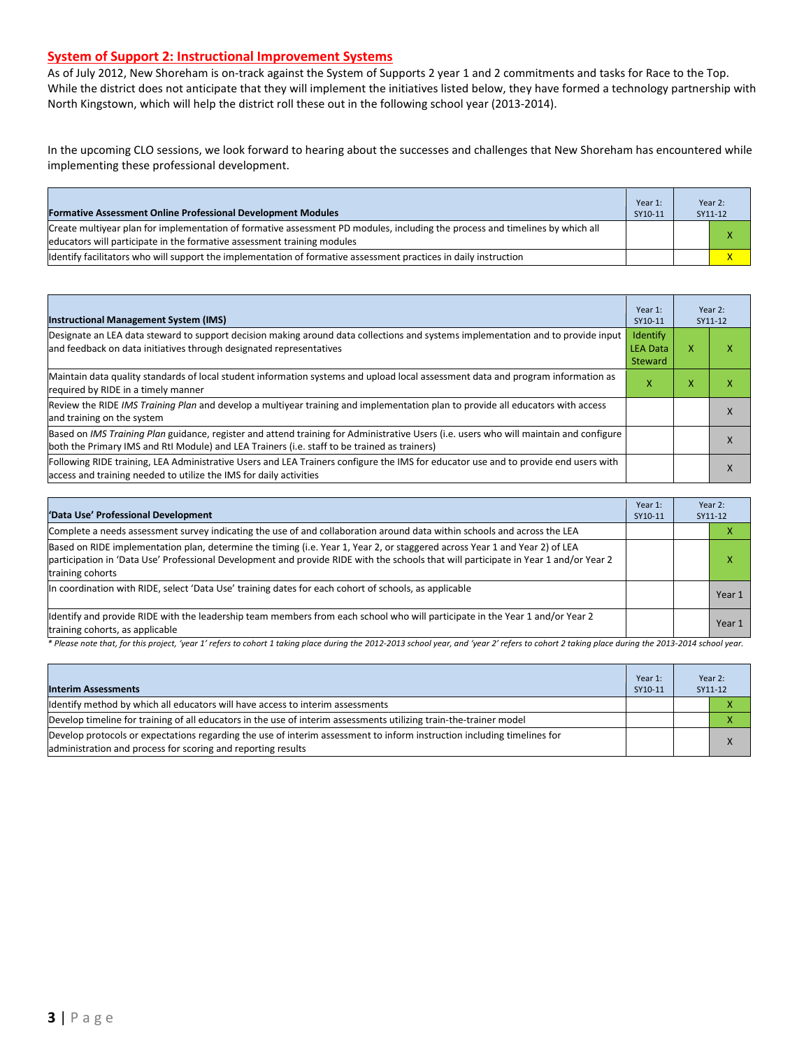#### **System of Support 2: Instructional Improvement Systems**

As of July 2012, New Shoreham is on-track against the System of Supports 2 year 1 and 2 commitments and tasks for Race to the Top. While the district does not anticipate that they will implement the initiatives listed below, they have formed a technology partnership with North Kingstown, which will help the district roll these out in the following school year (2013-2014).

In the upcoming CLO sessions, we look forward to hearing about the successes and challenges that New Shoreham has encountered while implementing these professional development.

| <b>Formative Assessment Online Professional Development Modules</b>                                                                                                                                      | Year 1:<br>SY10-11 | Year 2:<br>SY11-12 |
|----------------------------------------------------------------------------------------------------------------------------------------------------------------------------------------------------------|--------------------|--------------------|
| Create multivear plan for implementation of formative assessment PD modules, including the process and timelines by which all<br>educators will participate in the formative assessment training modules |                    |                    |
| ldentify facilitators who will support the implementation of formative assessment practices in daily instruction                                                                                         |                    |                    |

| <b>Instructional Management System (IMS)</b>                                                                                                                                                                                           | Year 1:<br>SY10-11                     |   | Year 2:<br>SY11-12 |
|----------------------------------------------------------------------------------------------------------------------------------------------------------------------------------------------------------------------------------------|----------------------------------------|---|--------------------|
| Designate an LEA data steward to support decision making around data collections and systems implementation and to provide input<br>and feedback on data initiatives through designated representatives                                | Identify<br><b>LEA Data</b><br>Steward | x |                    |
| Maintain data quality standards of local student information systems and upload local assessment data and program information as<br>required by RIDE in a timely manner                                                                | x                                      | x |                    |
| Review the RIDE IMS Training Plan and develop a multiyear training and implementation plan to provide all educators with access<br>and training on the system                                                                          |                                        |   |                    |
| Based on IMS Training Plan guidance, register and attend training for Administrative Users (i.e. users who will maintain and configure<br>both the Primary IMS and RtI Module) and LEA Trainers (i.e. staff to be trained as trainers) |                                        |   |                    |
| Following RIDE training, LEA Administrative Users and LEA Trainers configure the IMS for educator use and to provide end users with<br>access and training needed to utilize the IMS for daily activities                              |                                        |   | X                  |

| 'Data Use' Professional Development                                                                                                                                                                                                                                                     | Year 1:<br>SY10-11 | Year 2:<br>SY11-12 |
|-----------------------------------------------------------------------------------------------------------------------------------------------------------------------------------------------------------------------------------------------------------------------------------------|--------------------|--------------------|
| Complete a needs assessment survey indicating the use of and collaboration around data within schools and across the LEA                                                                                                                                                                |                    | v                  |
| Based on RIDE implementation plan, determine the timing (i.e. Year 1, Year 2, or staggered across Year 1 and Year 2) of LEA<br>participation in 'Data Use' Professional Development and provide RIDE with the schools that will participate in Year 1 and/or Year 2<br>training cohorts |                    | x                  |
| In coordination with RIDE, select 'Data Use' training dates for each cohort of schools, as applicable                                                                                                                                                                                   |                    | Year 1             |
| Identify and provide RIDE with the leadership team members from each school who will participate in the Year 1 and/or Year 2<br>training cohorts, as applicable                                                                                                                         |                    | Year 1             |

*\* Please note that, for this project, 'year 1' refers to cohort 1 taking place during the 2012-2013 school year, and 'year 2' refers to cohort 2 taking place during the 2013-2014 school year.*

| <b>Interim Assessments</b>                                                                                                                                                              | Year 1:<br>SY10-11 | Year 2:<br>SY11-12 |
|-----------------------------------------------------------------------------------------------------------------------------------------------------------------------------------------|--------------------|--------------------|
| Identify method by which all educators will have access to interim assessments                                                                                                          |                    |                    |
| Develop timeline for training of all educators in the use of interim assessments utilizing train-the-trainer model                                                                      |                    |                    |
| Develop protocols or expectations regarding the use of interim assessment to inform instruction including timelines for<br>administration and process for scoring and reporting results |                    |                    |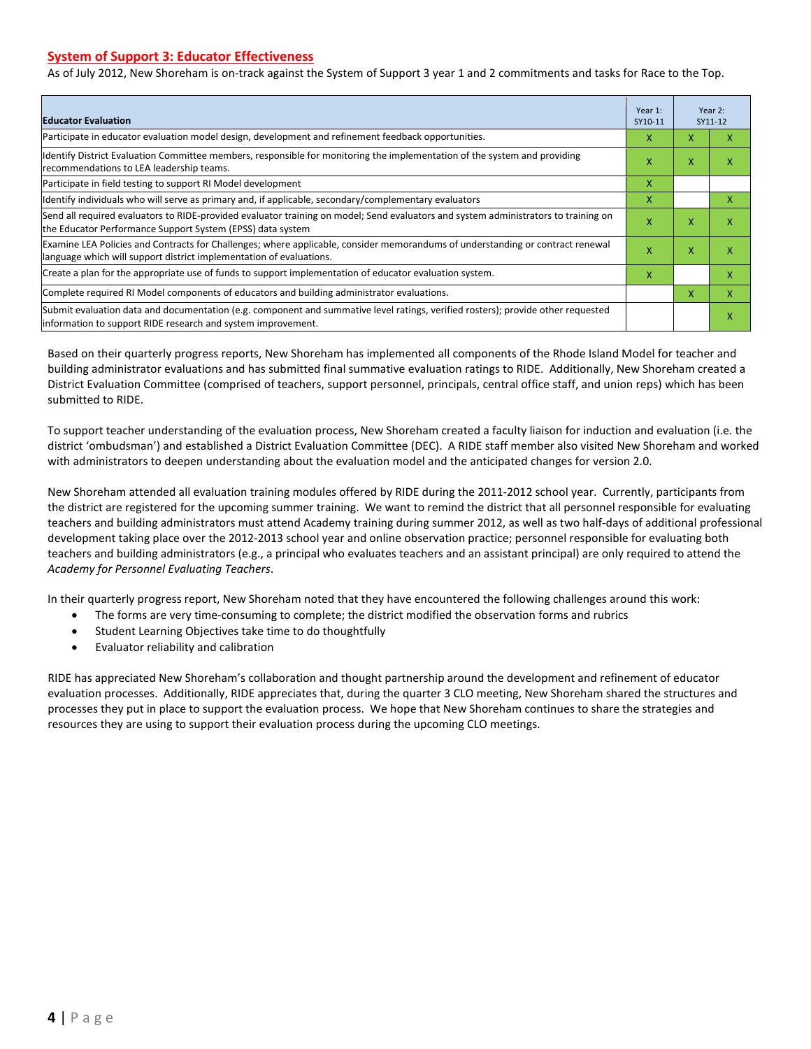#### **System of Support 3: Educator Effectiveness**

As of July 2012, New Shoreham is on-track against the System of Support 3 year 1 and 2 commitments and tasks for Race to the Top.

| <b>Educator Evaluation</b>                                                                                                                                                                            |   |   | Year 2:<br>SY11-12 |
|-------------------------------------------------------------------------------------------------------------------------------------------------------------------------------------------------------|---|---|--------------------|
| Participate in educator evaluation model design, development and refinement feedback opportunities.                                                                                                   | x | X | x                  |
| Identify District Evaluation Committee members, responsible for monitoring the implementation of the system and providing<br>recommendations to LEA leadership teams.                                 |   | X | x                  |
| Participate in field testing to support RI Model development                                                                                                                                          |   |   |                    |
| Identify individuals who will serve as primary and, if applicable, secondary/complementary evaluators                                                                                                 |   |   | X                  |
| Send all required evaluators to RIDE-provided evaluator training on model; Send evaluators and system administrators to training on<br>the Educator Performance Support System (EPSS) data system     |   |   | X                  |
| Examine LEA Policies and Contracts for Challenges; where applicable, consider memorandums of understanding or contract renewal<br>language which will support district implementation of evaluations. |   | X | X                  |
| Create a plan for the appropriate use of funds to support implementation of educator evaluation system.                                                                                               |   |   | X                  |
| Complete required RI Model components of educators and building administrator evaluations.                                                                                                            |   | X | X                  |
| Submit evaluation data and documentation (e.g. component and summative level ratings, verified rosters); provide other requested<br>linformation to support RIDE research and system improvement.     |   |   | X                  |

Based on their quarterly progress reports, New Shoreham has implemented all components of the Rhode Island Model for teacher and building administrator evaluations and has submitted final summative evaluation ratings to RIDE. Additionally, New Shoreham created a District Evaluation Committee (comprised of teachers, support personnel, principals, central office staff, and union reps) which has been submitted to RIDE.

To support teacher understanding of the evaluation process, New Shoreham created a faculty liaison for induction and evaluation (i.e. the district 'ombudsman') and established a District Evaluation Committee (DEC). A RIDE staff member also visited New Shoreham and worked with administrators to deepen understanding about the evaluation model and the anticipated changes for version 2.0.

New Shoreham attended all evaluation training modules offered by RIDE during the 2011-2012 school year. Currently, participants from the district are registered for the upcoming summer training. We want to remind the district that all personnel responsible for evaluating teachers and building administrators must attend Academy training during summer 2012, as well as two half-days of additional professional development taking place over the 2012-2013 school year and online observation practice; personnel responsible for evaluating both teachers and building administrators (e.g., a principal who evaluates teachers and an assistant principal) are only required to attend the *Academy for Personnel Evaluating Teachers*.

In their quarterly progress report, New Shoreham noted that they have encountered the following challenges around this work:

- The forms are very time-consuming to complete; the district modified the observation forms and rubrics
- Student Learning Objectives take time to do thoughtfully
- Evaluator reliability and calibration

RIDE has appreciated New Shoreham's collaboration and thought partnership around the development and refinement of educator evaluation processes. Additionally, RIDE appreciates that, during the quarter 3 CLO meeting, New Shoreham shared the structures and processes they put in place to support the evaluation process. We hope that New Shoreham continues to share the strategies and resources they are using to support their evaluation process during the upcoming CLO meetings.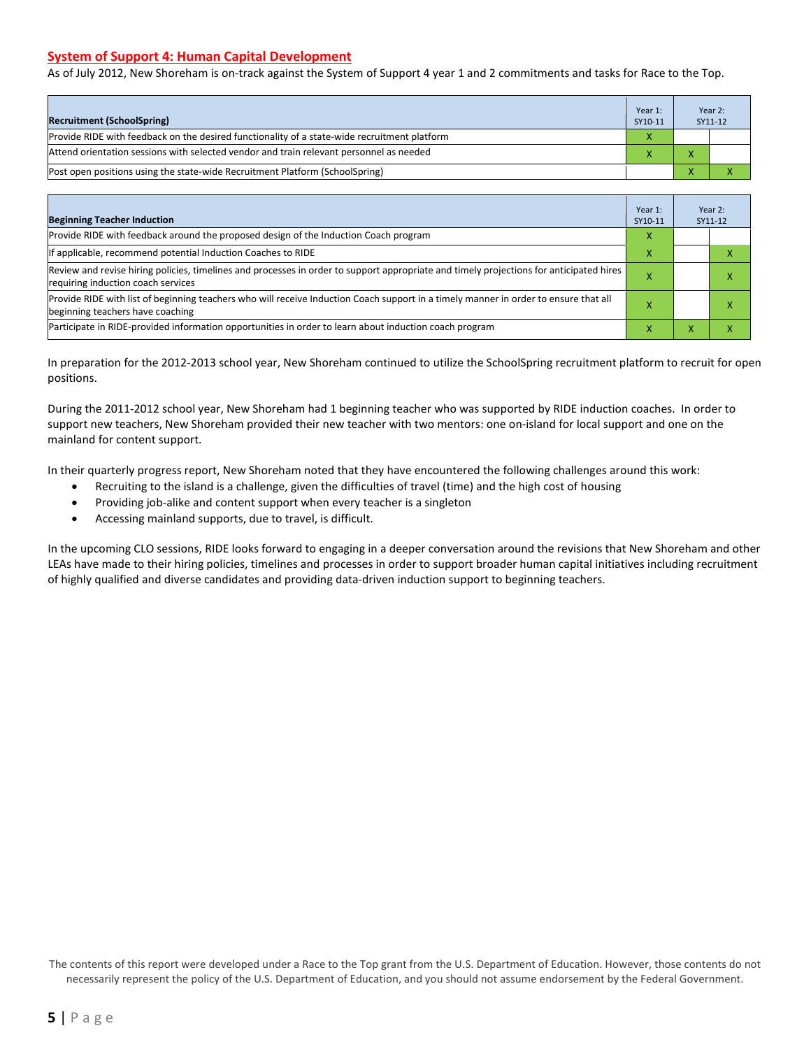#### **System of Support 4: Human Capital Development**

As of July 2012, New Shoreham is on-track against the System of Support 4 year 1 and 2 commitments and tasks for Race to the Top.

| <b>Recruitment (SchoolSpring)</b>                                                            | Year 1:<br>SY10-11 |              | Year 2:<br>SY11-12 |
|----------------------------------------------------------------------------------------------|--------------------|--------------|--------------------|
| Provide RIDE with feedback on the desired functionality of a state-wide recruitment platform |                    |              |                    |
| Attend orientation sessions with selected vendor and train relevant personnel as needed      |                    | $\mathbf{v}$ |                    |
| [Post open positions using the state-wide Recruitment Platform (SchoolSpring)                |                    |              |                    |

| <b>Beginning Teacher Induction</b>                                                                                                                                            | Year 1:<br>SY10-11 |  | Year 2:<br>SY11-12 |
|-------------------------------------------------------------------------------------------------------------------------------------------------------------------------------|--------------------|--|--------------------|
| Provide RIDE with feedback around the proposed design of the Induction Coach program                                                                                          |                    |  |                    |
| If applicable, recommend potential Induction Coaches to RIDE                                                                                                                  | x                  |  |                    |
| Review and revise hiring policies, timelines and processes in order to support appropriate and timely projections for anticipated hires<br>requiring induction coach services |                    |  |                    |
| Provide RIDE with list of beginning teachers who will receive Induction Coach support in a timely manner in order to ensure that all<br>beginning teachers have coaching      |                    |  |                    |
| Participate in RIDE-provided information opportunities in order to learn about induction coach program                                                                        |                    |  |                    |

In preparation for the 2012-2013 school year, New Shoreham continued to utilize the SchoolSpring recruitment platform to recruit for open positions.

During the 2011-2012 school year, New Shoreham had 1 beginning teacher who was supported by RIDE induction coaches. In order to support new teachers, New Shoreham provided their new teacher with two mentors: one on-island for local support and one on the mainland for content support.

In their quarterly progress report, New Shoreham noted that they have encountered the following challenges around this work:

- Recruiting to the island is a challenge, given the difficulties of travel (time) and the high cost of housing
- Providing job-alike and content support when every teacher is a singleton
- Accessing mainland supports, due to travel, is difficult.

In the upcoming CLO sessions, RIDE looks forward to engaging in a deeper conversation around the revisions that New Shoreham and other LEAs have made to their hiring policies, timelines and processes in order to support broader human capital initiatives including recruitment of highly qualified and diverse candidates and providing data-driven induction support to beginning teachers.

The contents of this report were developed under a Race to the Top grant from the U.S. Department of Education. However, those contents do not necessarily represent the policy of the U.S. Department of Education, and you should not assume endorsement by the Federal Government.